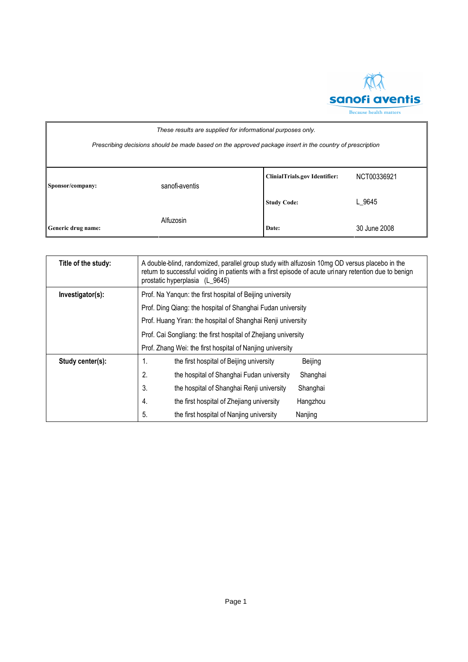

| These results are supplied for informational purposes only.                                              |                |                                      |              |
|----------------------------------------------------------------------------------------------------------|----------------|--------------------------------------|--------------|
| Prescribing decisions should be made based on the approved package insert in the country of prescription |                |                                      |              |
|                                                                                                          |                |                                      |              |
|                                                                                                          |                | <b>ClinialTrials.gov Identifier:</b> | NCT00336921  |
| Sponsor/company:                                                                                         | sanofi-aventis |                                      |              |
|                                                                                                          |                | <b>Study Code:</b>                   | L 9645       |
|                                                                                                          | Alfuzosin      |                                      |              |
| Generic drug name:                                                                                       |                | Date:                                | 30 June 2008 |

| Title of the study: | A double-blind, randomized, parallel group study with alfuzosin 10mg OD versus placebo in the<br>return to successful voiding in patients with a first episode of acute urinary retention due to benign<br>prostatic hyperplasia (L 9645) |                                                           |          |  |
|---------------------|-------------------------------------------------------------------------------------------------------------------------------------------------------------------------------------------------------------------------------------------|-----------------------------------------------------------|----------|--|
| Investigator(s):    |                                                                                                                                                                                                                                           | Prof. Na Yangun: the first hospital of Beijing university |          |  |
|                     | Prof. Ding Qiang: the hospital of Shanghai Fudan university                                                                                                                                                                               |                                                           |          |  |
|                     | Prof. Huang Yiran: the hospital of Shanghai Renji university                                                                                                                                                                              |                                                           |          |  |
|                     | Prof. Cai Songliang: the first hospital of Zhejiang university                                                                                                                                                                            |                                                           |          |  |
|                     |                                                                                                                                                                                                                                           | Prof. Zhang Wei: the first hospital of Nanjing university |          |  |
| Study center(s):    | 1.                                                                                                                                                                                                                                        | the first hospital of Beijing university                  | Beijing  |  |
|                     | 2.                                                                                                                                                                                                                                        | the hospital of Shanghai Fudan university                 | Shanghai |  |
|                     | 3.                                                                                                                                                                                                                                        | the hospital of Shanghai Renji university                 | Shanghai |  |
|                     | 4.                                                                                                                                                                                                                                        | the first hospital of Zhejiang university                 | Hangzhou |  |
|                     | 5.                                                                                                                                                                                                                                        | the first hospital of Nanjing university                  | Nanjing  |  |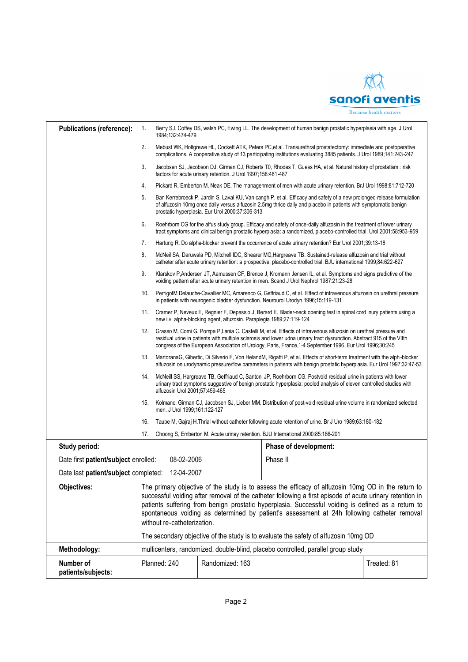$\overline{M}$ sanofi aventis Because health matters

| <b>Publications (reference):</b>                   | 1.                                                                                                                                                                                                             | 1984;132:474-479               |                                                                      | Berry SJ, Coffey DS, walsh PC, Ewing LL. The development of human benign prostatic hyperplasia with age. J Urol                                                                                                                                                                                                                                         |             |
|----------------------------------------------------|----------------------------------------------------------------------------------------------------------------------------------------------------------------------------------------------------------------|--------------------------------|----------------------------------------------------------------------|---------------------------------------------------------------------------------------------------------------------------------------------------------------------------------------------------------------------------------------------------------------------------------------------------------------------------------------------------------|-------------|
|                                                    | 2.                                                                                                                                                                                                             |                                |                                                                      | Mebust WK, Holtgrewe HL, Cockett ATK, Peters PC et al. Transurethral prostatectomy: immediate and postoperative<br>complications. A cooperative study of 13 participating institutions evaluating 3885 patients. J Urol 1989;141:243-247                                                                                                                |             |
|                                                    | 3.                                                                                                                                                                                                             |                                | factors for acute urinary retention. J Urol 1997;158:481-487         | Jacobsen SJ, Jacobson DJ, Girman CJ, Roberts T0, Rhodes T, Guess HA, et al. Natural history of prostatism : risk                                                                                                                                                                                                                                        |             |
|                                                    | 4.                                                                                                                                                                                                             |                                |                                                                      | Pickard R, Emberton M, Neak DE. The managenment of men with acute urinary retention. BrJ Urol 1998:81:712-720                                                                                                                                                                                                                                           |             |
|                                                    | 5.                                                                                                                                                                                                             |                                | prostatic hyperplasia. Eur Urol 2000:37:306-313                      | Ban Kerrebroeck P, Jardin S, Laval KU, Van cangh P, et al. Efficacy and safety of a new prolonged release formulation<br>of alfuzosin 10mg once daily versus alfuzosin 2.5mg thrice daily and placebo in patients with symptomatic benign                                                                                                               |             |
|                                                    | 6.                                                                                                                                                                                                             |                                |                                                                      | Roehrborn CG for the alfus study group. Efficacy and safety of once-daily alfuzosin in the treatment of lower urinary<br>tract symptoms and clinical benign prostatic hyperplasia: a randomized, placebo-controlled trial. Urol 2001:58:953-959                                                                                                         |             |
|                                                    | 7.<br>Hartung R. Do alpha-blocker prevent the occurrence of acute urinary retention? Eur Urol 2001;39:13-18                                                                                                    |                                |                                                                      |                                                                                                                                                                                                                                                                                                                                                         |             |
|                                                    | 8.                                                                                                                                                                                                             |                                |                                                                      | McNeil SA, Daruwala PD, Mitchell IDC, Shearer MG, Hargreave TB. Sustained-release alfuzosin and trial without<br>catheter after acute urinary retention: a prospective, placebo-controlled trial. BJU international 1999;84:622-627                                                                                                                     |             |
|                                                    | 9.                                                                                                                                                                                                             |                                |                                                                      | Klarskov P, Andersen JT, Aamussen CF, Brenoe J, Kromann Jensen IL, et al. Symptoms and signs predictive of the<br>voiding pattern after acute urinary retention in men. Scand J Urol Nephrol 1987:21:23-28                                                                                                                                              |             |
|                                                    | 10.                                                                                                                                                                                                            |                                |                                                                      | PerrigotM Delauche-Cavallier MC, Amarenco G, Geffriaud C, et al. Effect of intravenous alfuzosin on urethral pressure<br>in patients with neurogenic bladder dysfunction. Neurourol Urodyn 1996;15:119-131                                                                                                                                              |             |
|                                                    | 11.                                                                                                                                                                                                            |                                | new i.v. alpha-blocking agent, alfuzosin. Paraplegia 1989;27:119-124 | Cramer P, Neveux E, Regnier F, Depassio J, Berard E. Blader-neck opening test in spinal cord inury patients using a                                                                                                                                                                                                                                     |             |
|                                                    | 12.                                                                                                                                                                                                            |                                |                                                                      | Grasso M, Comi G, Pompa P, Lania C. Castelli M, et al. Effects of intravenous alfuzosin on urethral pressure and<br>residual urine in patients with multiple sclerosis and lower udna urinary tract dysrunction. Abstract 915 of the VIIth<br>congress of the European Association of Urology, Paris, France, 1-4 September 1996. Eur Urol 1996; 30:245 |             |
|                                                    | 13.                                                                                                                                                                                                            |                                |                                                                      | MartoranaG, Gibertic, Di Silverio F, Von HelandM, Rigatti P, et al. Effects of short-term treatment with the alph-blocker<br>alfuzosin on urodynamic pressure/flow parameters in patients with benign prostatic hyperplasia. Eur Urol 1997;32:47-53                                                                                                     |             |
|                                                    | 14.                                                                                                                                                                                                            | alfuzosin Urol 2001;57:459-465 |                                                                      | McNeill SS, Hargreave TB, Geffriaud C, Santoni JP, Roehrborn CG. Postvoid residual urine in patients with lower<br>urinary tract symptoms suggestive of benign prostatic hyperplasia: pooled analysis of eleven controlled studies with                                                                                                                 |             |
|                                                    | Kolmanc, Girman CJ, Jacobsen SJ, Lieber MM. Distribution of post-void residual urine volume in randomized selected<br>15.<br>men. J Urol 1999;161:122-127                                                      |                                |                                                                      |                                                                                                                                                                                                                                                                                                                                                         |             |
|                                                    | Taube M, Gajraj H. Thrial without catheter following acute retention of urine. Br J Uro 1989;63:180-182<br>16.                                                                                                 |                                |                                                                      |                                                                                                                                                                                                                                                                                                                                                         |             |
|                                                    | 17.<br>Choong S, Emberton M. Acute urinay retention. BJU International 2000:85:186-201                                                                                                                         |                                |                                                                      |                                                                                                                                                                                                                                                                                                                                                         |             |
| Study period:                                      |                                                                                                                                                                                                                |                                |                                                                      | Phase of development:                                                                                                                                                                                                                                                                                                                                   |             |
| Date first patient/subject enrolled:<br>08-02-2006 |                                                                                                                                                                                                                |                                |                                                                      | Phase II                                                                                                                                                                                                                                                                                                                                                |             |
| Date last patient/subject completed: 12-04-2007    |                                                                                                                                                                                                                |                                |                                                                      |                                                                                                                                                                                                                                                                                                                                                         |             |
| Objectives:                                        | The primary objective of the study is to assess the efficacy of alfuzosin 10mg OD in the return to                                                                                                             |                                |                                                                      |                                                                                                                                                                                                                                                                                                                                                         |             |
|                                                    | successful voiding after removal of the catheter following a first episode of acute urinary retention in<br>patients suffering from benign prostatic hyperplasia. Successful voiding is defined as a return to |                                |                                                                      |                                                                                                                                                                                                                                                                                                                                                         |             |
|                                                    | spontaneous voiding as determined by patient's assessment at 24h following catheter removal                                                                                                                    |                                |                                                                      |                                                                                                                                                                                                                                                                                                                                                         |             |
|                                                    | without re-catheterization.                                                                                                                                                                                    |                                |                                                                      |                                                                                                                                                                                                                                                                                                                                                         |             |
|                                                    | The secondary objective of the study is to evaluate the safety of alfuzosin 10mg OD                                                                                                                            |                                |                                                                      |                                                                                                                                                                                                                                                                                                                                                         |             |
| Methodology:                                       |                                                                                                                                                                                                                |                                |                                                                      | multicenters, randomized, double-blind, placebo controlled, parallel group study                                                                                                                                                                                                                                                                        |             |
| Number of<br>patients/subjects:                    |                                                                                                                                                                                                                | Planned: 240                   | Randomized: 163                                                      |                                                                                                                                                                                                                                                                                                                                                         | Treated: 81 |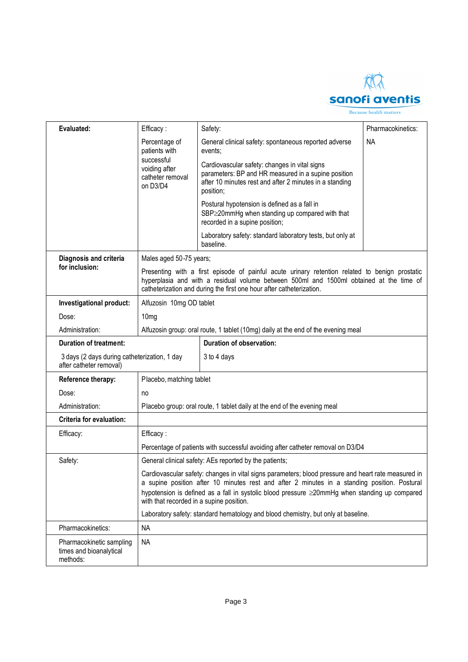

Because health matters

| Evaluated:                                                              | Efficacy:                                                                                                                                                                                                                                                         | Safety:                                                                                                                                                                                                                                                                                              | Pharmacokinetics: |  |
|-------------------------------------------------------------------------|-------------------------------------------------------------------------------------------------------------------------------------------------------------------------------------------------------------------------------------------------------------------|------------------------------------------------------------------------------------------------------------------------------------------------------------------------------------------------------------------------------------------------------------------------------------------------------|-------------------|--|
|                                                                         | Percentage of<br>patients with                                                                                                                                                                                                                                    | General clinical safety: spontaneous reported adverse<br>events;                                                                                                                                                                                                                                     | <b>NA</b>         |  |
|                                                                         | successful<br>voiding after<br>catheter removal<br>on D3/D4                                                                                                                                                                                                       | Cardiovascular safety: changes in vital signs<br>parameters: BP and HR measured in a supine position<br>after 10 minutes rest and after 2 minutes in a standing<br>position;                                                                                                                         |                   |  |
|                                                                         |                                                                                                                                                                                                                                                                   | Postural hypotension is defined as a fall in<br>SBP≥20mmHg when standing up compared with that<br>recorded in a supine position;                                                                                                                                                                     |                   |  |
|                                                                         |                                                                                                                                                                                                                                                                   | Laboratory safety: standard laboratory tests, but only at<br>baseline.                                                                                                                                                                                                                               |                   |  |
| Diagnosis and criteria                                                  | Males aged 50-75 years;                                                                                                                                                                                                                                           |                                                                                                                                                                                                                                                                                                      |                   |  |
| for inclusion:                                                          | Presenting with a first episode of painful acute urinary retention related to benign prostatic<br>hyperplasia and with a residual volume between 500ml and 1500ml obtained at the time of<br>catheterization and during the first one hour after catheterization. |                                                                                                                                                                                                                                                                                                      |                   |  |
| Investigational product:                                                | Alfuzosin 10mg OD tablet                                                                                                                                                                                                                                          |                                                                                                                                                                                                                                                                                                      |                   |  |
| Dose:                                                                   | 10 <sub>mg</sub>                                                                                                                                                                                                                                                  |                                                                                                                                                                                                                                                                                                      |                   |  |
| Administration:                                                         | Alfuzosin group: oral route, 1 tablet (10mg) daily at the end of the evening meal                                                                                                                                                                                 |                                                                                                                                                                                                                                                                                                      |                   |  |
| <b>Duration of treatment:</b>                                           |                                                                                                                                                                                                                                                                   | Duration of observation:                                                                                                                                                                                                                                                                             |                   |  |
| 3 days (2 days during catheterization, 1 day<br>after catheter removal) |                                                                                                                                                                                                                                                                   | 3 to 4 days                                                                                                                                                                                                                                                                                          |                   |  |
| Reference therapy:                                                      | Placebo, matching tablet                                                                                                                                                                                                                                          |                                                                                                                                                                                                                                                                                                      |                   |  |
| Dose:                                                                   | no                                                                                                                                                                                                                                                                |                                                                                                                                                                                                                                                                                                      |                   |  |
| Administration:                                                         | Placebo group: oral route, 1 tablet daily at the end of the evening meal                                                                                                                                                                                          |                                                                                                                                                                                                                                                                                                      |                   |  |
| Criteria for evaluation:                                                |                                                                                                                                                                                                                                                                   |                                                                                                                                                                                                                                                                                                      |                   |  |
| Efficacy:                                                               | Efficacy:                                                                                                                                                                                                                                                         |                                                                                                                                                                                                                                                                                                      |                   |  |
|                                                                         |                                                                                                                                                                                                                                                                   | Percentage of patients with successful avoiding after catheter removal on D3/D4                                                                                                                                                                                                                      |                   |  |
| Safety:                                                                 | General clinical safety: AEs reported by the patients;                                                                                                                                                                                                            |                                                                                                                                                                                                                                                                                                      |                   |  |
|                                                                         | with that recorded in a supine position.                                                                                                                                                                                                                          | Cardiovascular safety: changes in vital signs parameters; blood pressure and heart rate measured in<br>a supine position after 10 minutes rest and after 2 minutes in a standing position. Postural<br>hypotension is defined as a fall in systolic blood pressure ≥20mmHg when standing up compared |                   |  |
|                                                                         |                                                                                                                                                                                                                                                                   | Laboratory safety: standard hematology and blood chemistry, but only at baseline.                                                                                                                                                                                                                    |                   |  |
| Pharmacokinetics:                                                       | <b>NA</b>                                                                                                                                                                                                                                                         |                                                                                                                                                                                                                                                                                                      |                   |  |
| Pharmacokinetic sampling<br>times and bioanalytical<br>methods:         | <b>NA</b>                                                                                                                                                                                                                                                         |                                                                                                                                                                                                                                                                                                      |                   |  |